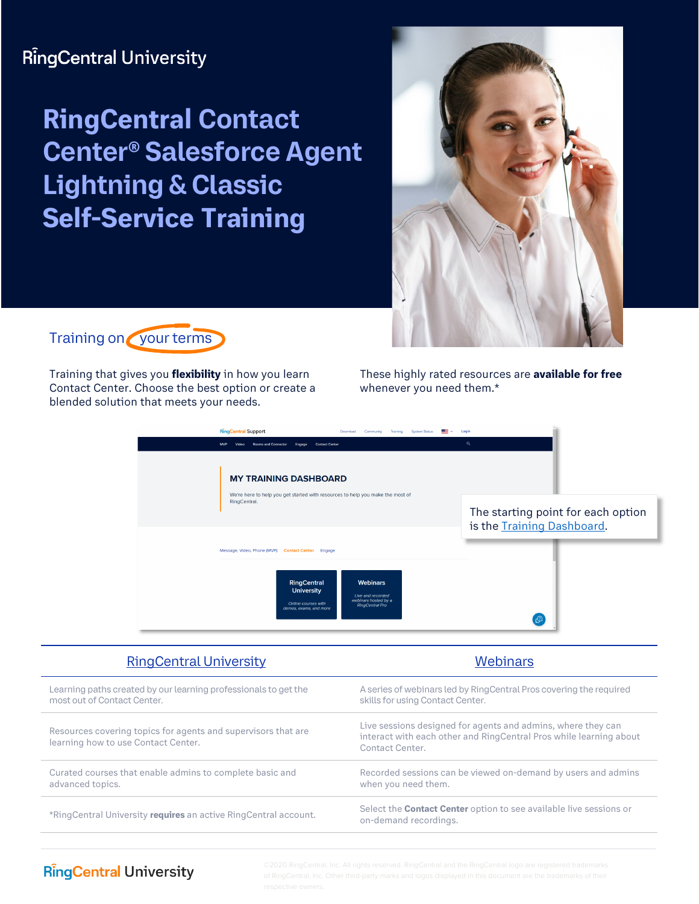# **RingCentral University**

# **RingCentral Contact Center® Salesforce Agent Lightning & Classic Self-Service Training**





Training that gives you **flexibility** in how you learn Contact Center. Choose the best option or create a blended solution that meets your needs.

These highly rated resources are **available for free** whenever you need them.\*

| <b>RingCentral Support</b><br>Download<br><b>System Status</b><br>Community<br>Training<br><b>Contact Center</b><br><b>MVP</b><br><b>Rooms and Connector</b><br>Video<br>Engage | Login<br>$\alpha$                                                |
|---------------------------------------------------------------------------------------------------------------------------------------------------------------------------------|------------------------------------------------------------------|
| <b>MY TRAINING DASHBOARD</b><br>We're here to help you get started with resources to help you make the most of                                                                  |                                                                  |
| RingCentral.                                                                                                                                                                    | The starting point for each option<br>is the Training Dashboard. |
| Message, Video, Phone (MVP) Contact Center Engage                                                                                                                               |                                                                  |
| <b>Webinars</b><br>RingCentral<br><b>University</b><br>Live and recorded<br>webinars hosted by a<br>Online courses with<br><b>RingCentral Pro</b><br>demos, exams, and more     | $\mathcal{Q}$                                                    |

| <b>RingCentral University</b>                                                                        | <b>Webinars</b>                                                                                                                                       |
|------------------------------------------------------------------------------------------------------|-------------------------------------------------------------------------------------------------------------------------------------------------------|
| Learning paths created by our learning professionals to get the<br>most out of Contact Center.       | A series of webinars led by RingCentral Pros covering the required<br>skills for using Contact Center.                                                |
| Resources covering topics for agents and supervisors that are<br>learning how to use Contact Center. | Live sessions designed for agents and admins, where they can<br>interact with each other and RingCentral Pros while learning about<br>Contact Center. |
| Curated courses that enable admins to complete basic and<br>advanced topics.                         | Recorded sessions can be viewed on-demand by users and admins<br>when you need them.                                                                  |
| *RingCentral University requires an active RingCentral account.                                      | Select the <b>Contact Center</b> option to see available live sessions or<br>on-demand recordings.                                                    |
|                                                                                                      |                                                                                                                                                       |

### **RingCentral University**